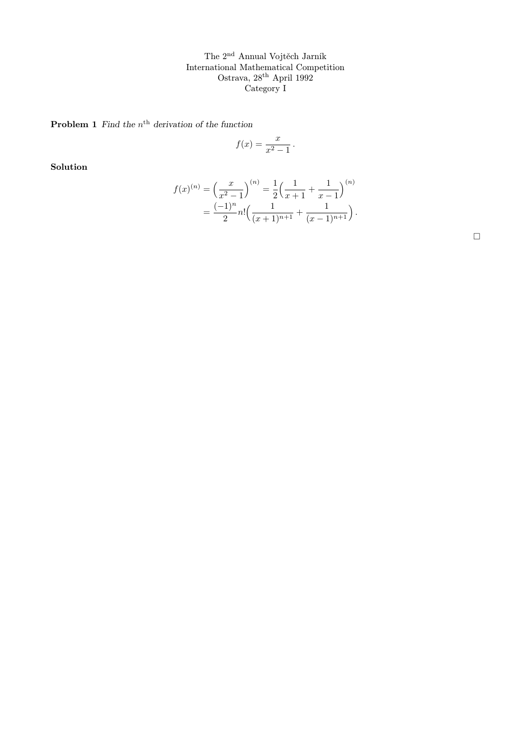**Problem 1** Find the  $n^{\text{th}}$  derivation of the function

$$
f(x) = \frac{x}{x^2 - 1}.
$$

Solution

$$
f(x)^{(n)} = \left(\frac{x}{x^2 - 1}\right)^{(n)} = \frac{1}{2} \left(\frac{1}{x+1} + \frac{1}{x-1}\right)^{(n)} = \frac{(-1)^n}{2} n! \left(\frac{1}{(x+1)^{n+1}} + \frac{1}{(x-1)^{n+1}}\right).
$$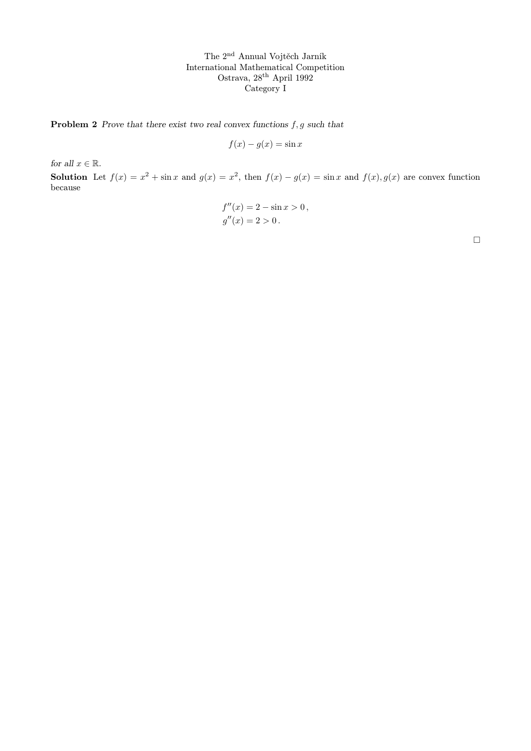**Problem 2** Prove that there exist two real convex functions  $f, g$  such that

$$
f(x) - g(x) = \sin x
$$

for all  $x \in \mathbb{R}$ .

**Solution** Let  $f(x) = x^2 + \sin x$  and  $g(x) = x^2$ , then  $f(x) - g(x) = \sin x$  and  $f(x)$ ,  $g(x)$  are convex function because

$$
f''(x) = 2 - \sin x > 0,
$$
  

$$
g''(x) = 2 > 0.
$$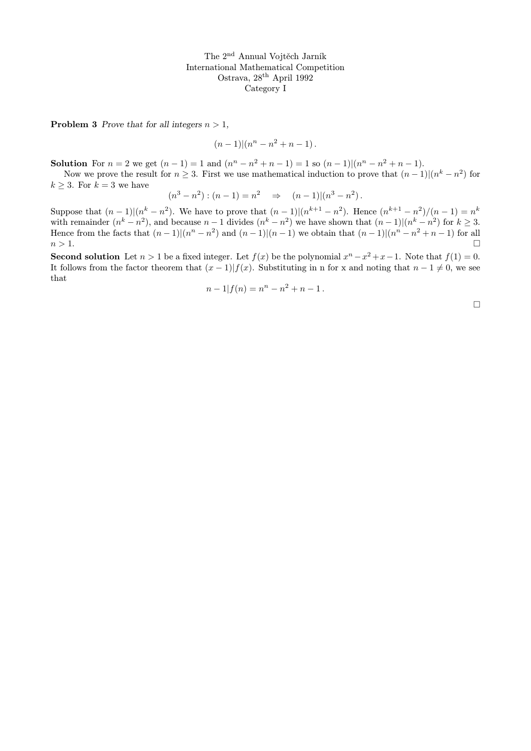**Problem 3** Prove that for all integers  $n > 1$ ,

$$
(n-1)
$$
 $|(n^{n}-n^{2}+n-1)$ .

**Solution** For  $n = 2$  we get  $(n - 1) = 1$  and  $(n<sup>n</sup> - n<sup>2</sup> + n - 1) = 1$  so  $(n - 1)(n<sup>n</sup> - n<sup>2</sup> + n - 1)$ .

Now we prove the result for  $n \geq 3$ . First we use mathematical induction to prove that  $(n-1)|(n^k - n^2)$  for  $k \geq 3$ . For  $k = 3$  we have

 $(n^3 - n^2) : (n-1) = n^2 \Rightarrow (n-1) | (n^3 - n^2)$ .

Suppose that  $(n-1)(n^k - n^2)$ . We have to prove that  $(n-1)(n^{k+1} - n^2)$ . Hence  $(n^{k+1} - n^2)/(n-1) = n^k$ with remainder  $(n^k - n^2)$ , and because  $n - 1$  divides  $(n^k - n^2)$  we have shown that  $(n - 1)(n^k - n^2)$  for  $k \ge 3$ . Hence from the facts that  $(n-1)(n^2 - n^2)$  and  $(n-1)(n-1)$  we obtain that  $(n-1)(n^2 - n^2 + n - 1)$  for all  $n > 1$ .

**Second solution** Let  $n > 1$  be a fixed integer. Let  $f(x)$  be the polynomial  $x^n - x^2 + x - 1$ . Note that  $f(1) = 0$ . It follows from the factor theorem that  $(x - 1)|f(x)$ . Substituting in n for x and noting that  $n - 1 \neq 0$ , we see that

$$
n-1|f(n) = nn - n2 + n - 1.
$$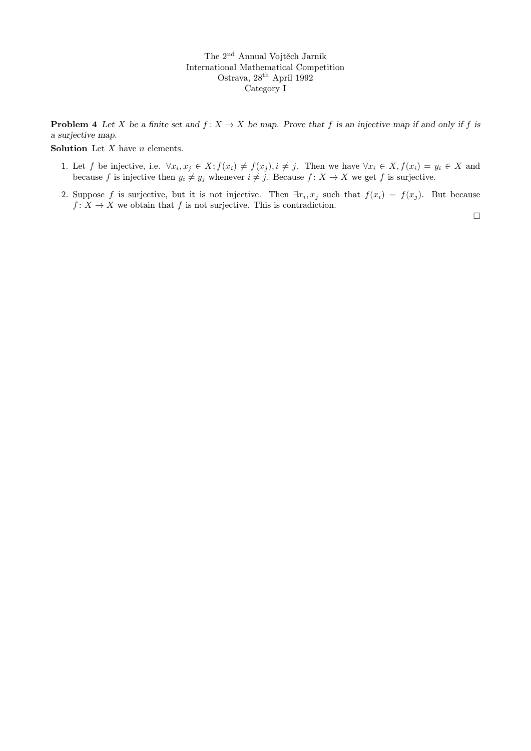**Problem 4** Let X be a finite set and  $f: X \to X$  be map. Prove that f is an injective map if and only if f is a surjective map.

**Solution** Let  $X$  have  $n$  elements.

- 1. Let f be injective, i.e.  $\forall x_i, x_j \in X; f(x_i) \neq f(x_j), i \neq j$ . Then we have  $\forall x_i \in X, f(x_i) = y_i \in X$  and because f is injective then  $y_i \neq y_j$  whenever  $i \neq j$ . Because  $f : X \to X$  we get f is surjective.
- 2. Suppose f is surjective, but it is not injective. Then  $\exists x_i, x_j$  such that  $f(x_i) = f(x_j)$ . But because  $f: X \to X$  we obtain that f is not surjective. This is contradiction.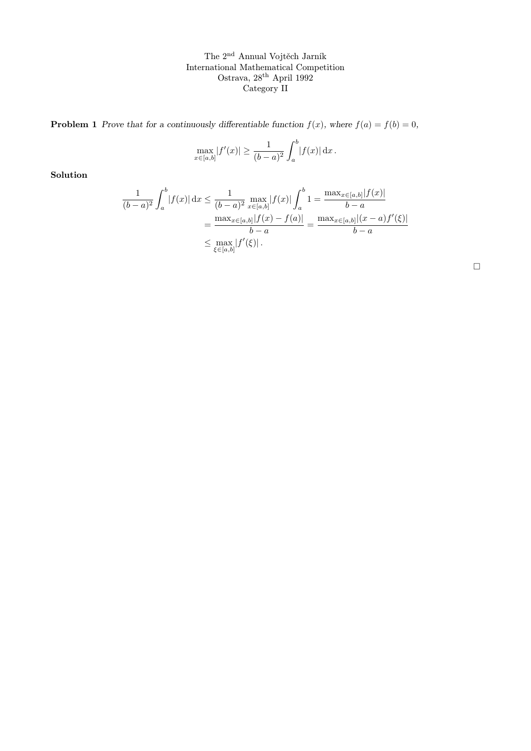**Problem 1** Prove that for a continuously differentiable function  $f(x)$ , where  $f(a) = f(b) = 0$ ,

$$
\max_{x \in [a,b]} |f'(x)| \ge \frac{1}{(b-a)^2} \int_a^b |f(x)| dx.
$$

Solution

$$
\frac{1}{(b-a)^2} \int_a^b |f(x)| dx \le \frac{1}{(b-a)^2} \max_{x \in [a,b]} |f(x)| \int_a^b 1 = \frac{\max_{x \in [a,b]} |f(x)|}{b-a}
$$

$$
= \frac{\max_{x \in [a,b]} |f(x) - f(a)|}{b-a} = \frac{\max_{x \in [a,b]} |(x-a)f'(\xi)|}{b-a}
$$

$$
\le \max_{\xi \in [a,b]} |f'(\xi)|.
$$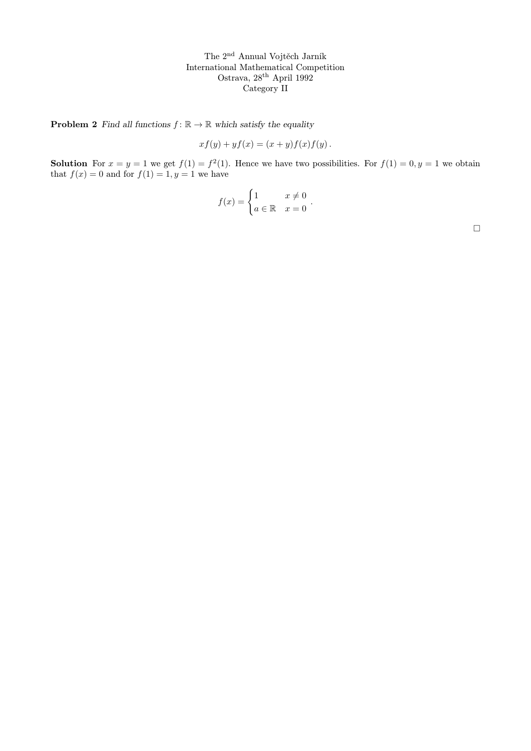**Problem 2** Find all functions  $f : \mathbb{R} \to \mathbb{R}$  which satisfy the equality

$$
xf(y) + yf(x) = (x + y)f(x)f(y).
$$

**Solution** For  $x = y = 1$  we get  $f(1) = f^2(1)$ . Hence we have two possibilities. For  $f(1) = 0, y = 1$  we obtain that  $f(x) = 0$  and for  $f(1) = 1, y = 1$  we have

$$
f(x) = \begin{cases} 1 & x \neq 0 \\ a \in \mathbb{R} & x = 0 \end{cases}.
$$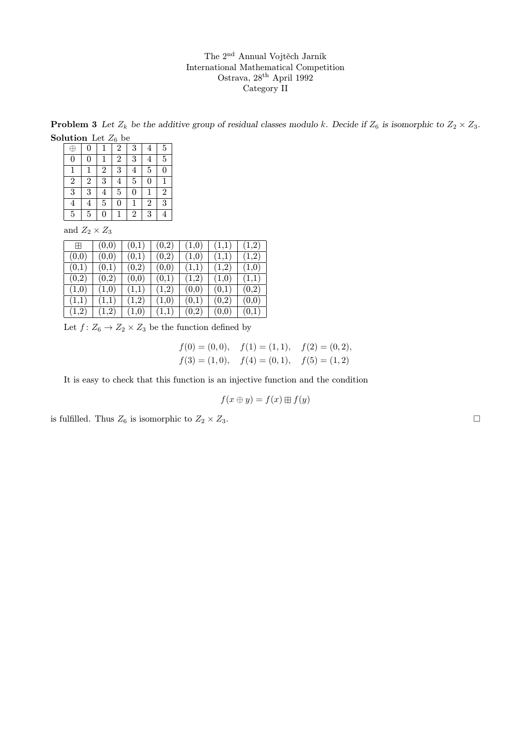**Problem 3** Let  $Z_k$  be the additive group of residual classes modulo k. Decide if  $Z_6$  is isomorphic to  $Z_2 \times Z_3$ . **Solution** Let  $Z_6$  be

| .<br>$\mathbf{u}$ $\mathbf{v}$ $\mathbf{v}$ $\mathbf{v}$ |                |   |                |             |                |                |
|----------------------------------------------------------|----------------|---|----------------|-------------|----------------|----------------|
| $\bigoplus$                                              | 0              |   | $\overline{2}$ | 3           | 4              | 5              |
| $\overline{0}$                                           | 0              |   | $\overline{2}$ | 3           | 4              | $\overline{5}$ |
|                                                          | 1              | 2 | 3              | 4           | 5              | $\overline{0}$ |
| $\overline{2}$                                           | $\overline{2}$ | 3 | 4              | 5           | $\overline{0}$ |                |
| $\overline{3}$                                           | 3              | 4 | $\overline{5}$ | 0           | 1              | $\overline{2}$ |
| 4                                                        | 4              | 5 | 0              | $\mathbf 1$ | $\overline{2}$ | 3              |
| 5                                                        | 5              | 0 |                | 2           | 3              |                |
|                                                          |                |   |                |             |                |                |

and  $Z_2 \times Z_3$ 

| Ħ     | (0.0) | (0,1) | (0,2) | (1,0) | (1,1) | (1,2) |
|-------|-------|-------|-------|-------|-------|-------|
| (0,0) | (0,0) | (0,1) | (0,2) | (1,0) | (1,1) | (1,2) |
| (0,1) | (0,1) | (0,2) | (0,0) | (1,1) | (1,2) | (1,0) |
| (0,2) | (0,2) | (0,0) | (0,1) | (1,2) | (1,0) | (1,1) |
| (1,0) | (1,0) | (1,1) | (1,2) | (0,0) | (0,1) | (0,2) |
| (1,1) | (1,1) | (1,2) | (1,0) | (0,1) | (0,2) | (0,0) |
| (1,2) | (1,2) | (1,0) | (1,1) | (0,2) | (0,0) | (0,1) |

Let  $f: Z_6 \to Z_2 \times Z_3$  be the function defined by

 $f(0) = (0, 0), \quad f(1) = (1, 1), \quad f(2) = (0, 2),$  $f(3) = (1, 0), \quad f(4) = (0, 1), \quad f(5) = (1, 2)$ 

It is easy to check that this function is an injective function and the condition

$$
f(x \oplus y) = f(x) \boxplus f(y)
$$

is fulfilled. Thus  $Z_6$  is isomorphic to  $Z_2 \times Z_3$ .